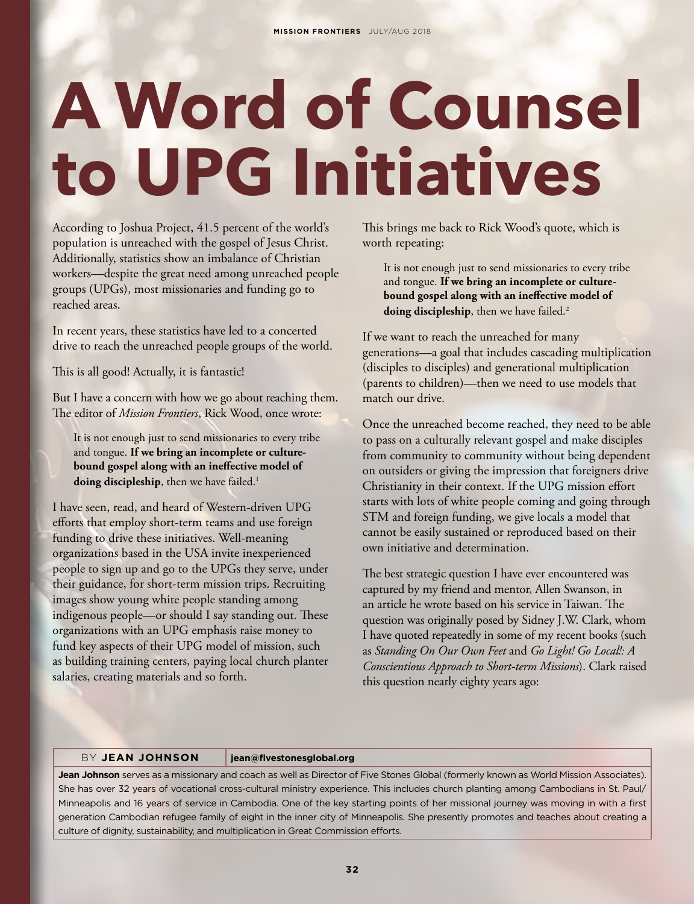## **A Word of Counsel to UPG Initiatives**

According to Joshua Project, 41.5 percent of the world's population is unreached with the gospel of Jesus Christ. Additionally, statistics show an imbalance of Christian workers—despite the great need among unreached people groups (UPGs), most missionaries and funding go to reached areas.

In recent years, these statistics have led to a concerted drive to reach the unreached people groups of the world.

This is all good! Actually, it is fantastic!

But I have a concern with how we go about reaching them. The editor of *Mission Frontiers*, Rick Wood, once wrote:

It is not enough just to send missionaries to every tribe and tongue. **If we bring an incomplete or culturebound gospel along with an ineffective model of**  doing discipleship, then we have failed.<sup>1</sup>

I have seen, read, and heard of Western-driven UPG efforts that employ short-term teams and use foreign funding to drive these initiatives. Well-meaning organizations based in the USA invite inexperienced people to sign up and go to the UPGs they serve, under their guidance, for short-term mission trips. Recruiting images show young white people standing among indigenous people—or should I say standing out. These organizations with an UPG emphasis raise money to fund key aspects of their UPG model of mission, such as building training centers, paying local church planter salaries, creating materials and so forth.

This brings me back to Rick Wood's quote, which is worth repeating:

It is not enough just to send missionaries to every tribe and tongue. **If we bring an incomplete or culturebound gospel along with an ineffective model of**  doing discipleship, then we have failed.<sup>2</sup>

If we want to reach the unreached for many generations—a goal that includes cascading multiplication (disciples to disciples) and generational multiplication (parents to children)—then we need to use models that match our drive.

Once the unreached become reached, they need to be able to pass on a culturally relevant gospel and make disciples from community to community without being dependent on outsiders or giving the impression that foreigners drive Christianity in their context. If the UPG mission effort starts with lots of white people coming and going through STM and foreign funding, we give locals a model that cannot be easily sustained or reproduced based on their own initiative and determination.

The best strategic question I have ever encountered was captured by my friend and mentor, Allen Swanson, in an article he wrote based on his service in Taiwan. The question was originally posed by Sidney J.W. Clark, whom I have quoted repeatedly in some of my recent books (such as *Standing On Our Own Feet* and *Go Light! Go Local!: A Conscientious Approach to Short-term Missions*). Clark raised this question nearly eighty years ago:

BY **JEAN JOHNSON jean@fivestonesglobal.org**

**Jean Johnson** serves as a missionary and coach as well as Director of Five Stones Global (formerly known as World Mission Associates). She has over 32 years of vocational cross-cultural ministry experience. This includes church planting among Cambodians in St. Paul/ Minneapolis and 16 years of service in Cambodia. One of the key starting points of her missional journey was moving in with a first generation Cambodian refugee family of eight in the inner city of Minneapolis. She presently promotes and teaches about creating a culture of dignity, sustainability, and multiplication in Great Commission efforts.